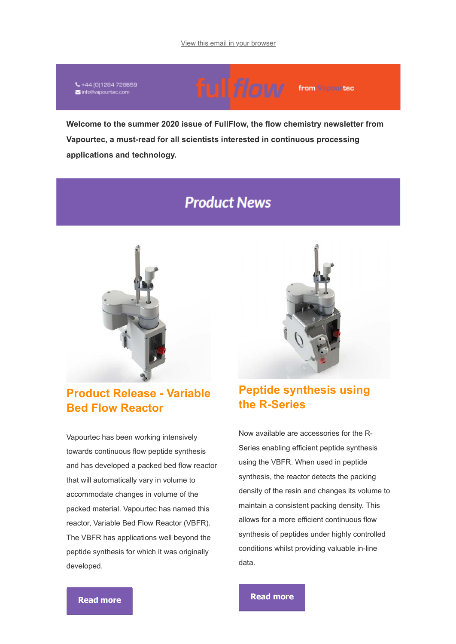↓ +44 (0)1284 728659 info@vapourtec.com

# ful flow from Vapourtec

**Welcome to the summer 2020 issue of FullFlow, the flow chemistry newsletter from Vapourtec, a must-read for all scientists interested in continuous processing applications and technology.**

# **Product News**



### **Product Release - Variable Bed Flow Reactor**

Vapourtec has been working intensively towards continuous flow peptide synthesis and has developed a packed bed flow reactor that will automatically vary in volume to accommodate changes in volume of the packed material. Vapourtec has named this reactor, Variable Bed Flow Reactor (VBFR). The VBFR has applications well beyond the peptide synthesis for which it was originally developed.



# **Peptide synthesis using the R-Series**

Now available are accessories for the R-Series enabling efficient peptide synthesis using the VBFR. When used in peptide synthesis, the reactor detects the packing density of the resin and changes its volume to maintain a consistent packing density. This allows for a more efficient continuous flow synthesis of peptides under highly controlled conditions whilst providing valuable in-line data.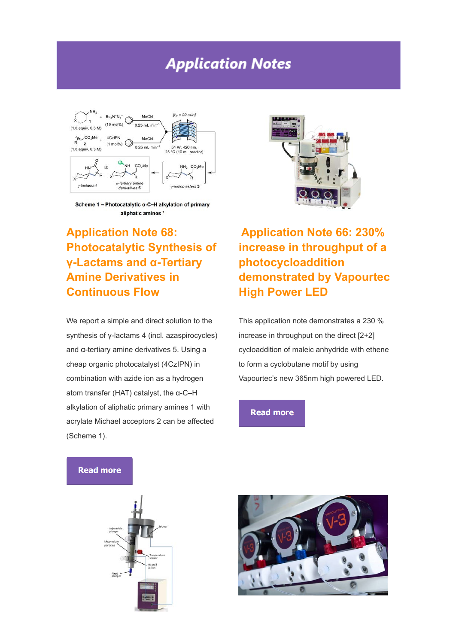# **Application Notes**



Scheme 1 - Photocatalytic α-C-H alkylation of primary aliphatic amines<sup>1</sup>



# **Application Note 68: Photocatalytic Synthesis of γ-Lactams and α-Tertiary Amine Derivatives in Continuous Flow**

We report a simple and direct solution to the synthesis of γ-lactams 4 (incl. azaspirocycles) and α-tertiary amine derivatives 5. Using a cheap organic photocatalyst (4CzIPN) in combination with azide ion as a hydrogen atom transfer (HAT) catalyst, the α-C–H alkylation of aliphatic primary amines 1 with acrylate Michael acceptors 2 can be affected (Scheme 1).

**Application Note 66: 230% increase in throughput of a photocycloaddition demonstrated by Vapourtec High Power LED**

This application note demonstrates a 230 % increase in throughput on the direct [2+2] cycloaddition of maleic anhydride with ethene to form a cyclobutane motif by using Vapourtec's new 365nm high powered LED.

### **Read more**



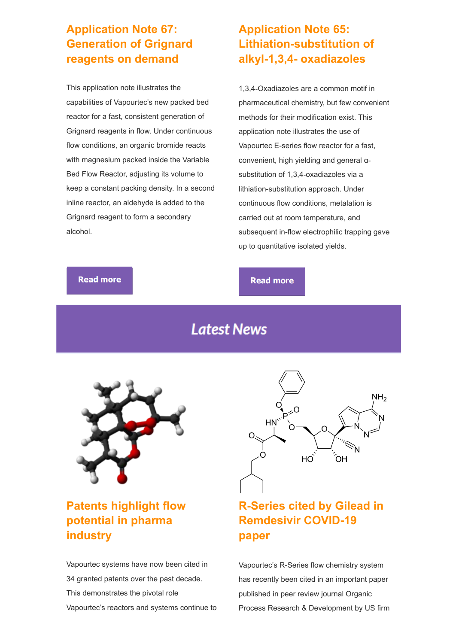### **Application Note 67: Generation of Grignard reagents on demand**

This application note illustrates the capabilities of Vapourtec's new packed bed reactor for a fast, consistent generation of Grignard reagents in flow. Under continuous flow conditions, an organic bromide reacts with magnesium packed inside the Variable Bed Flow Reactor, adjusting its volume to keep a constant packing density. In a second inline reactor, an aldehyde is added to the Grignard reagent to form a secondary alcohol.

# **Application Note 65: Lithiation-substitution of alkyl-1,3,4- oxadiazoles**

1,3,4‐Oxadiazoles are a common motif in pharmaceutical chemistry, but few convenient methods for their modification exist. This application note illustrates the use of Vapourtec E-series flow reactor for a fast, convenient, high yielding and general α‐ substitution of 1,3,4‐oxadiazoles via a lithiation-substitution approach. Under continuous flow conditions, metalation is carried out at room temperature, and subsequent in-flow electrophilic trapping gave up to quantitative isolated yields.

### **Read more**

### **Read more**

# **Latest News**



# **Patents highlight flow potential in pharma industry**

Vapourtec systems have now been cited in 34 granted patents over the past decade. This demonstrates the pivotal role Vapourtec's reactors and systems continue to



# **R-Series cited by Gilead in Remdesivir COVID-19 paper**

Vapourtec's R-Series flow chemistry system has recently been cited in an important paper published in peer review journal Organic Process Research & Development by US firm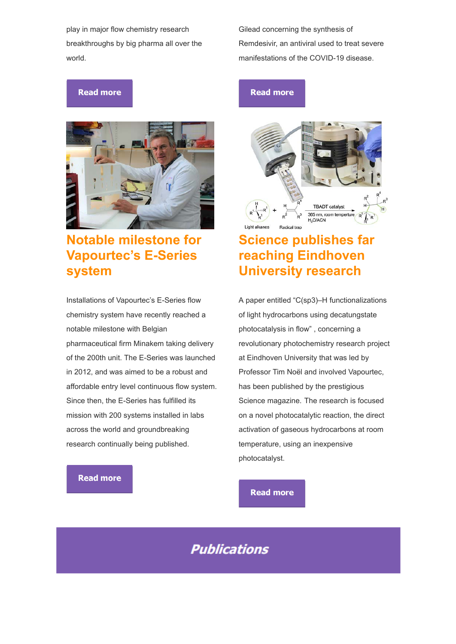play in major flow chemistry research breakthroughs by big pharma all over the world.

### **Read more**



# **Notable milestone for Vapourtec's E-Series system**

Installations of Vapourtec's E-Series flow chemistry system have recently reached a notable milestone with Belgian pharmaceutical firm Minakem taking delivery of the 200th unit. The E-Series was launched in 2012, and was aimed to be a robust and affordable entry level continuous flow system. Since then, the E-Series has fulfilled its mission with 200 systems installed in labs across the world and groundbreaking research continually being published.

### **Read more**

Gilead concerning the synthesis of Remdesivir, an antiviral used to treat severe manifestations of the COVID-19 disease.

### **Read more**



# **Science publishes far reaching Eindhoven University research**

A paper entitled "C(sp3)–H functionalizations of light hydrocarbons using decatungstate photocatalysis in flow" , concerning a revolutionary photochemistry research project at Eindhoven University that was led by Professor Tim Noël and involved Vapourtec, has been published by the prestigious Science magazine. The research is focused on a novel photocatalytic reaction, the direct activation of gaseous hydrocarbons at room temperature, using an inexpensive photocatalyst.

### **Read more**

# **Publications**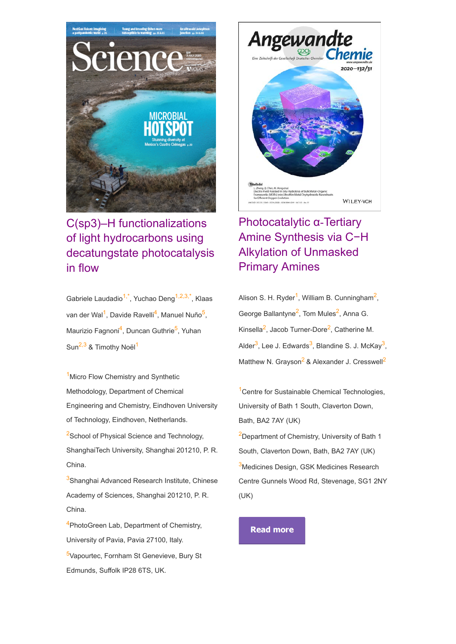

# C(sp3)–H functionalizations of light hydrocarbons using decatungstate photocatalysis in flow

Gabriele Laudadio<sup>1,\*</sup>, Yuchao Deng<sup>1,2,3,\*</sup>, Klaas van der Wal<sup>1</sup>, Davide Ravelli<sup>4</sup>, Manuel Nuño<sup>5</sup>, Maurizio Fagnoni<sup>4</sup>, Duncan Guthrie<sup>5</sup>, Yuhan Sun<sup>2,3</sup> & Timothy Noël<sup>1</sup>

<sup>1</sup> Micro Flow Chemistry and Synthetic Methodology, Department of Chemical Engineering and Chemistry, Eindhoven University of Technology, Eindhoven, Netherlands. <sup>2</sup>School of Physical Science and Technology, ShanghaiTech University, Shanghai 201210, P. R. China.

<sup>3</sup>Shanghai Advanced Research Institute, Chinese Academy of Sciences, Shanghai 201210, P. R. China.

<sup>4</sup>PhotoGreen Lab, Department of Chemistry, University of Pavia, Pavia 27100, Italy. <sup>5</sup>Vapourtec, Fornham St Genevieve, Bury St

Edmunds, Suffolk IP28 6TS, UK.



# Photocatalytic α-Tertiary Amine Synthesis via C−H Alkylation of Unmasked Primary Amines

Alison S. H. Ryder<sup>1</sup>, William B. Cunningham<sup>2</sup>, George Ballantyne<sup>2</sup>, Tom Mules<sup>2</sup>, Anna G. Kinsella<sup>2</sup>, Jacob Turner-Dore<sup>2</sup>, Catherine M. Alder<sup>3</sup>, Lee J. Edwards<sup>3</sup>, Blandine S. J. McKay<sup>3</sup>, Matthew N. Grayson<sup>2</sup> & Alexander J. Cresswell<sup>2</sup>

<sup>1</sup> Centre for Sustainable Chemical Technologies, University of Bath 1 South, Claverton Down, Bath, BA2 7AY (UK)

<sup>2</sup>Department of Chemistry, University of Bath 1 South, Claverton Down, Bath, BA2 7AY (UK) 3Medicines Design, GSK Medicines Research Centre Gunnels Wood Rd, Stevenage, SG1 2NY (UK)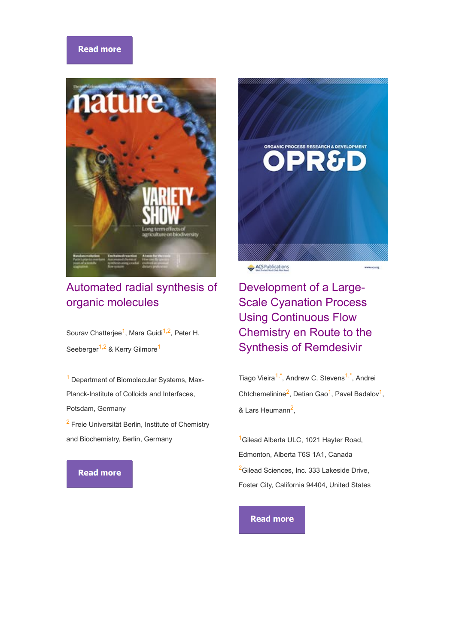### **Read more**



# Automated radial synthesis of organic molecules

Sourav Chatterjee<sup>1</sup>, Mara Guidi<sup>1,2</sup>, Peter H. Seeberger<sup>1,2</sup> & Kerry Gilmore<sup>1</sup>

<sup>1</sup> Department of Biomolecular Systems, Max-Planck-Institute of Colloids and Interfaces, Potsdam, Germany

<sup>2</sup> Freie Universität Berlin, Institute of Chemistry and Biochemistry, Berlin, Germany

### **Read more**



Development of a Large-Scale Cyanation Process Using Continuous Flow Chemistry en Route to the Synthesis of Remdesivir

Tiago Vieira<sup>1,\*</sup>, Andrew C. Stevens<sup>1,\*</sup>, Andrei Chtchemelinine<sup>2</sup>, Detian Gao<sup>1</sup>, Pavel Badalov<sup>1</sup>, & Lars Heumann<sup>2</sup>,

<sup>1</sup>Gilead Alberta ULC, 1021 Hayter Road, Edmonton, Alberta T6S 1A1, Canada <sup>2</sup>Gilead Sciences, Inc. 333 Lakeside Drive, Foster City, California 94404, United States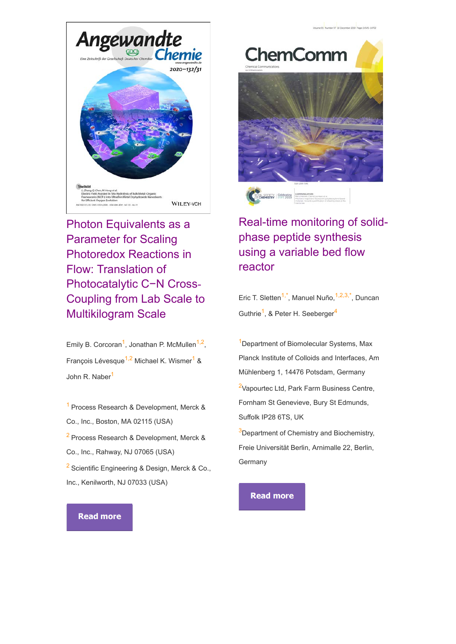

Photon Equivalents as a Parameter for Scaling Photoredox Reactions in Flow: Translation of Photocatalytic C−N Cross‐ Coupling from Lab Scale to Multikilogram Scale

Emily B. Corcoran<sup>1</sup>, Jonathan P. McMullen<sup>1,2</sup>, François Lévesque<sup>1,2</sup> Michael K. Wismer<sup>1</sup> & John R. Naber<sup>1</sup>

<sup>1</sup>Process Research & Development, Merck & Co., Inc., Boston, MA 02115 (USA) <sup>2</sup> Process Research & Development, Merck & Co., Inc., Rahway, NJ 07065 (USA) <sup>2</sup> Scientific Engineering & Design, Merck & Co., Inc., Kenilworth, NJ 07033 (USA)

# **ChemComm**



# Real-time monitoring of solidphase peptide synthesis using a variable bed flow reactor

Eric T. Sletten<sup>1,\*</sup>, Manuel Nuño,<sup>1,2,3,\*</sup>, Duncan Guthrie<sup>1</sup>, & Peter H. Seeberger<sup>4</sup>

<sup>1</sup>Department of Biomolecular Systems, Max Planck Institute of Colloids and Interfaces, Am Mühlenberg 1, 14476 Potsdam, Germany <sup>2</sup>Vapourtec Ltd, Park Farm Business Centre, Fornham St Genevieve, Bury St Edmunds, Suffolk IP28 6TS, UK <sup>3</sup>Department of Chemistry and Biochemistry,

Freie Universität Berlin, Arnimalle 22, Berlin, **Germany** 

**Read more**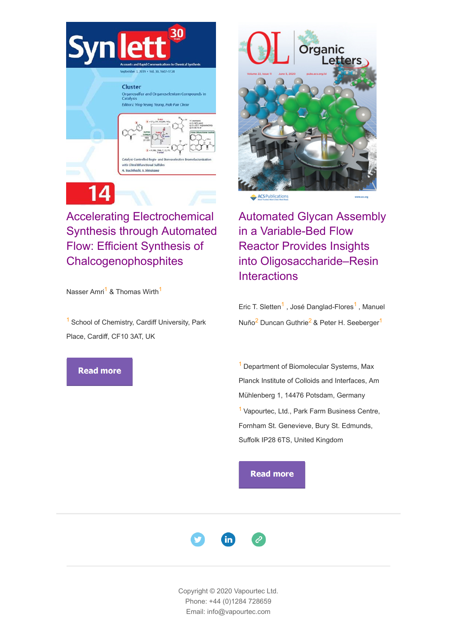

Organosulfur and Organoselenium Compounds in<br>Catalysis Editors: Ying-Yeung Yeung, Hak-Fun Chow



# Accelerating Electrochemical Synthesis through Automated Flow: Efficient Synthesis of **Chalcogenophosphites**

Nasser Amri<sup>1</sup> & Thomas Wirth<sup>1</sup>

 $<sup>1</sup>$  School of Chemistry, Cardiff University, Park</sup> Place, Cardiff, CF10 3AT, UK

### **Read more**



ACS Publications

Automated Glycan Assembly in a Variable-Bed Flow Reactor Provides Insights into Oligosaccharide–Resin **Interactions** 

Eric T. Sletten<sup>1</sup> , José Danglad-Flores<sup>1</sup> , Manuel Nuño<sup>2</sup> Duncan Guthrie<sup>2</sup> & Peter H. Seeberger<sup>1</sup>

<sup>1</sup> Department of Biomolecular Systems, Max Planck Institute of Colloids and Interfaces, Am Mühlenberg 1, 14476 Potsdam, Germany <sup>1</sup> Vapourtec, Ltd., Park Farm Business Centre, Fornham St. Genevieve, Bury St. Edmunds, Suffolk IP28 6TS, United Kingdom

### **Read more**



Copyright © 2020 Vapourtec Ltd. Phone: +44 (0)1284 728659 Email: info@vapourtec.com